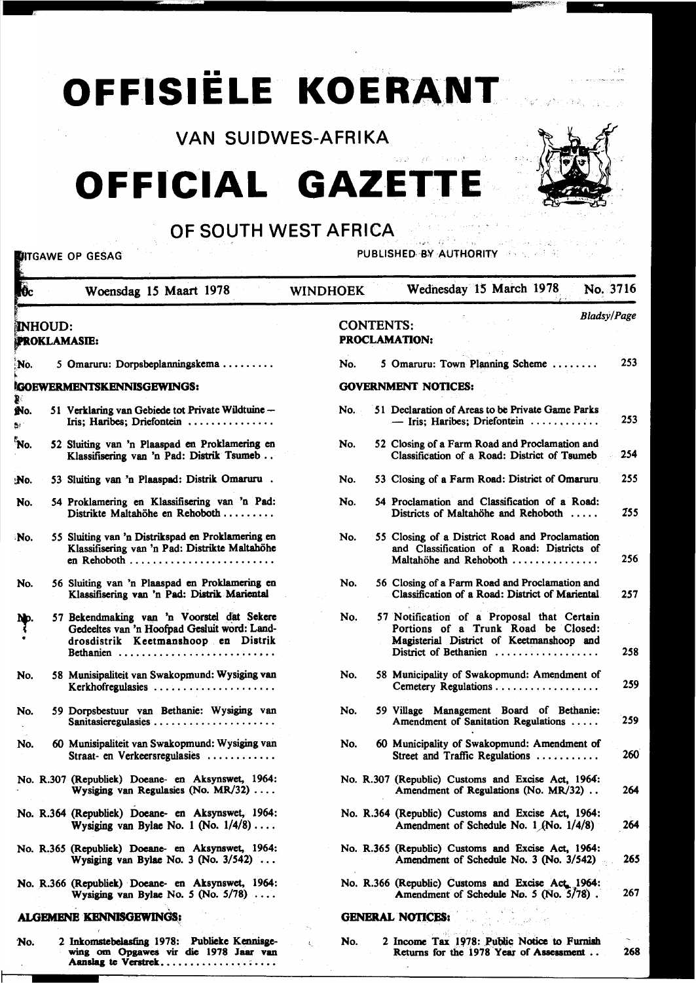# **OFFISIËLE KOERANT**

VAN SUIDWES-AFRIKA

**OFFICIAL GAZET** 



ask operation

## OF SOUTH WEST AFRICA

**UITGAWE OP GESAG** 

PUBLISHED BY AUTHORITY

POR APRILA

| $\overline{\mathbf{b}}$ | Woensdag 15 Maart 1978                                                                                                                         | Wednesday 15 March 1978<br>No. 3716<br><b>WINDHOEK</b>                                                                                                               |
|-------------------------|------------------------------------------------------------------------------------------------------------------------------------------------|----------------------------------------------------------------------------------------------------------------------------------------------------------------------|
|                         | <b>INHOUD:</b><br><b>PROKLAMASIE:</b>                                                                                                          | <b>Bladsy/Page</b><br><b>CONTENTS:</b><br><b>PROCLAMATION:</b>                                                                                                       |
| No.                     | 5 Omaruru: Dorpsbeplanningskema                                                                                                                | 253<br>5 Omaruru: Town Planning Scheme<br>No.                                                                                                                        |
|                         | <b>IGOEWERMENTSKENNISGEWINGS:</b>                                                                                                              | <b>GOVERNMENT NOTICES:</b>                                                                                                                                           |
| ğ.<br>No.<br>₿ł.        | 51 Verklaring van Gebiede tot Private Wildtuine -<br>Iris; Haribes; Driefontein                                                                | 51 Declaration of Areas to be Private Game Parks<br>No.<br>253<br>$-$ Iris; Haribes; Driefontein                                                                     |
| 'No.                    | 52 Sluiting van 'n Plaaspad en Proklamering en<br>Klassifisering van 'n Pad: Distrik Tsumeb                                                    | 52 Closing of a Farm Road and Proclamation and<br>No.<br>254<br>Classification of a Road: District of Tsumeb                                                         |
| :No.                    | 53 Sluiting van 'n Plaaspad: Distrik Omaruru.                                                                                                  | 255<br>53 Closing of a Farm Road: District of Omaruru<br>No.                                                                                                         |
| No.                     | 54 Proklamering en Klassifisering van 'n Pad:<br>Distrikte Maltahöhe en Rehoboth                                                               | 54 Proclamation and Classification of a Road:<br>No.<br>255<br>Districts of Maltahöhe and Rehoboth                                                                   |
| No.                     | 55 Sluiting van 'n Distrikspad en Proklamering en<br>Klassifisering van 'n Pad: Distrikte Maltahöhe<br>en Rehoboth                             | 55 Closing of a District Road and Proclamation<br>No.<br>and Classification of a Road: Districts of<br>256<br>Maltahöhe and Rehoboth                                 |
| No.                     | 56 Sluiting van 'n Plaaspad en Proklamering en<br>Klassifisering van 'n Pad: Distrik Mariental                                                 | No.<br>56 Closing of a Farm Road and Proclamation and<br>Classification of a Road: District of Mariental<br>257                                                      |
| Np.                     | 57 Bekendmaking van 'n Voorstel dat Sekere<br>Gedeeltes van 'n Hoofpad Gesluit word: Land-<br>drosdistrik Keetmanshoop en Distrik<br>Bethanien | 57 Notification of a Proposal that Certain<br>No.<br>Portions of a Trunk Road be Closed:<br>Magisterial District of Keetmanshoop and<br>258<br>District of Bethanien |
| No.                     | 58 Munisipaliteit van Swakopmund: Wysiging van<br>Kerkhofregulasies                                                                            | No.<br>58 Municipality of Swakopmund: Amendment of<br>259<br>Cemetery Regulations                                                                                    |
| No.                     | 59 Dorpsbestuur van Bethanie: Wysiging van                                                                                                     | 59 Village Management Board of Bethanie:<br>No.<br>259<br>Amendment of Sanitation Regulations                                                                        |
| No.                     | 60 Munisipaliteit van Swakopmund: Wysiging van<br>Straat- en Verkeersregulasies                                                                | 60 Municipality of Swakopmund: Amendment of<br>No.<br>260<br>Street and Traffic Regulations                                                                          |
|                         | No. R.307 (Republiek) Doeane- en Aksynswet, 1964:<br>Wysiging van Regulasies (No. $MR/32$ )                                                    | No. R.307 (Republic) Customs and Excise Act, 1964:<br>264<br>Amendment of Regulations (No. MR/32)                                                                    |
|                         | No. R.364 (Republiek) Doeane- en Aksynswet, 1964:<br>Wysiging van Bylae No. 1 (No. $1/4/8$ )                                                   | No. R.364 (Republic) Customs and Excise Act, 1964:<br>264<br>Amendment of Schedule No. $1/(No. 1/4/8)$                                                               |
|                         | No. R.365 (Republiek) Doeane- en Aksynswet, 1964:<br>Wysiging van Bylae No. 3 (No. $3/542$ )                                                   | No. R.365 (Republic) Customs and Excise Act, 1964:<br>265<br>Amendment of Schedule No. 3 (No. 3/542)                                                                 |
|                         | No. R.366 (Republiek) Doeane- en Aksynswet, 1964:<br>Wysiging van Bylae No. 5 (No. $5/78$ )                                                    | No. R.366 (Republic) Customs and Excise Act 1964:<br>267<br>Amendment of Schedule No. 5 (No. 5/78).                                                                  |
|                         | <b>ALGEMENE KENNISGEWINGS:</b>                                                                                                                 | <b>GENERAL NOTICES:</b>                                                                                                                                              |
| No.                     | 2 Inkomstebelasting 1978: Publieke Kennisge-<br>wing om Opgawes vir die 1978 Jaar van<br>Aanslag te Verstrek                                   | 2 Income Tax 1978: Public Notice to Furnish<br>No.<br>t.<br>268<br>Returns for the 1978 Year of Assessment                                                           |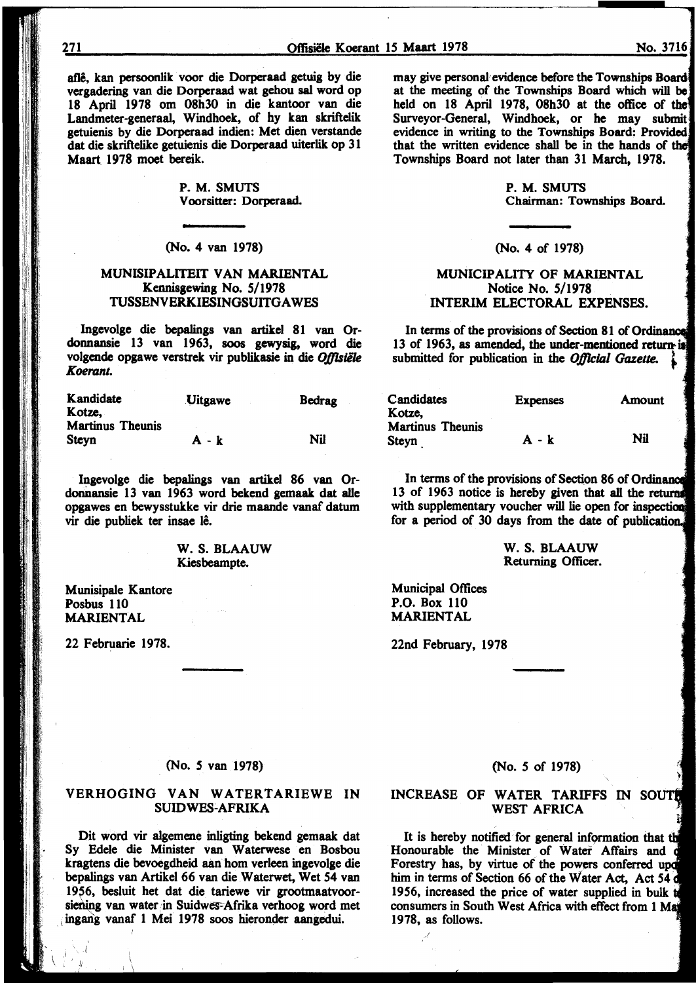afle, kan persoonlik voor die Dorperaad getuig by die vergadering van die Dorperaad wat gehou sal word op 18 April 1978 om 08h30 in die kantoor van die Landmeter-generaal, Windhoek, of hy kan skriftelik getuienis by die Dorperaad indien: Met dien verstande dat die skriftelike getuienis die Dorperaad uiterlik op 31 Maart 1978 moet bereik.

> P.M. SMUTS V oorsitter: Dorperaad.

(No. 4 van 1978)

#### MUNISIPALITEIT VAN MARIENTAL Kennisgewing No. 5/1978 TUSSENVERKIESINGSUITGAWES

lngevolge die bepalings van artikel 81 van Ordonnansie 13 van 1963, soos gewysig, word die volgende opgawe verstrek vir publikasie in die *Offlslile Koerant.* 

| Kandidate               | <b>Uitgawe</b> | <b>Bedrag</b> |
|-------------------------|----------------|---------------|
| Kotze,                  |                |               |
| <b>Martinus Theunis</b> |                |               |
| <b>Steyn</b>            | $A - k$        | Nil           |

lngevolge die bepalings van artikel 86 van Ordonnansie 13 van 1963 word bekend gemaak dat alle opgawes en bewysstukke vir drie maande vanaf datum vir die publiek ter insae lê.

> W. S. BLAAUW Kiesbeampte.

Munisipale Kantore Posbus 110 MARIENTAL

22 Februarie 1978.

 $\sum_{i=1}^N \frac{1}{i} \sum_{j=1}^N$ 

may give personal evidence before the Townships Board at the meeting of the Townships Board which will held on 18 April 1978, 08h30 at the office of the Surveyor-General, Windhoek, or he may submit evidence in writing to the Townships Board: Provided that the written evidence shall be in the hands of the Townships Board not later than 31 March, 1978.

> P. M. SMUTS Chairman: Townships Board.

#### (No. 4 of 1978)

#### MUNICIPALITY OF MARIENTAL Notice No. 5/1978 INTERIM ELECTORAL EXPENSES.

In terms of the provisions of Section 81 of Ordinance 13 of 1963, as amended, the under-mentioned return is submitted for publication in the Official Gazette.

| Candidates<br>Kotze,    | <b>Expenses</b> | Amount     |
|-------------------------|-----------------|------------|
| <b>Martinus Theunis</b> |                 |            |
| Steyn                   | A - k           | <b>Nil</b> |

In terms of the provisions of Section 86 of Ordinance 13 of 1963 notice is hereby given that all the returns with supplementary voucher will lie open for inspection for a period of 30 days from the date of publication.

> W. S. BLAAUW Returning Officer.

Municipal Offices P.O. Box 110 MARIENTAL

*/* 

22nd February, 1978

#### (No. *S* van 1978)

#### VERHOGING VAN WATERTARIEWE IN SUIDWES~AFRIKA

Dit word vir algemene inligting bekend gemaak dat Sy Edele die Minister van Waterwese en Bosbou kragtens die bevoegdheid aan hom verleen ingevolge die bepalings van Artikel 66 van die Waterwet, Wet 54 van 1956, besluit het dat die tariewe vir grootmaatvoorsiening van water in Suidwes-Afrika verhoog word met . 1 ingan) vanaf 1 Mei 1978 soos hieronder aangedui.

#### (No. *5* of 1978)

#### INCREASE OF WATER TARIFFS IN WEST AFRICA

It is hereby notified for general information that the Honourable the Minister of Water Affairs and o Forestry has, by virtue of the powers conferred upd him in terms of Section 66 of the Water Act, Act 54 d 1956, increased the price of water supplied in bulk consumers in South West Africa with effect from 1 1978, as follows.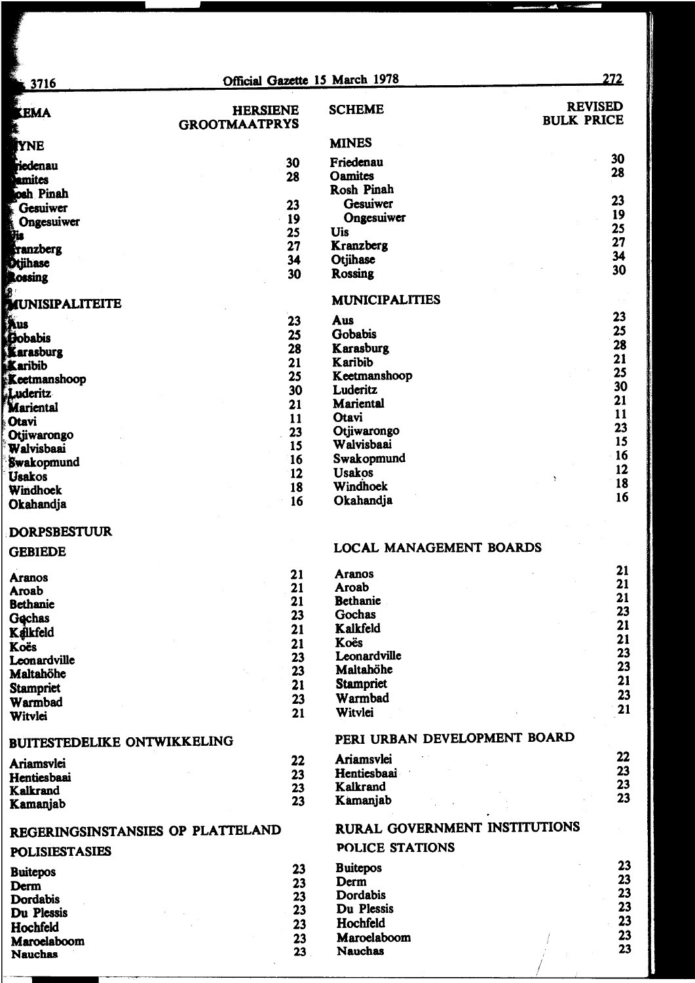| 3716                               | Official Gazette 15 March 1978 |                              | 272                                 |
|------------------------------------|--------------------------------|------------------------------|-------------------------------------|
| <b>LEMA</b>                        | <b>HERSIENE</b>                | <b>SCHEME</b>                | <b>REVISED</b><br><b>BULK PRICE</b> |
|                                    | <b>GROOTMAATPRYS</b>           |                              |                                     |
| <b>AYNE</b>                        |                                | <b>MINES</b>                 |                                     |
| <b>Fiedenau</b>                    | 30                             | Friedenau                    | 30                                  |
| <b>Famites</b>                     | 28                             | <b>Oamites</b>               | 28                                  |
| osh Pinah                          |                                | <b>Rosh Pinah</b>            |                                     |
| <b>Gesuiwer</b>                    | 23                             | Gesuiwer                     | 23                                  |
| Ongesuiwer                         | 19                             | Ongesuiwer                   | 19                                  |
| .<br>Vis                           | 25                             | Uis                          | 25                                  |
| tranzberg                          | 27                             | <b>Kranzberg</b>             | 27                                  |
| <b>Dtjihase</b>                    | 34                             | Otjihase                     | 34                                  |
| <b>Rossing</b>                     | 30                             | <b>Rossing</b>               | 30                                  |
| MUNISIPALITEITE                    |                                | <b>MUNICIPALITIES</b>        |                                     |
| Aus                                | 23                             | Aus                          | 23                                  |
| <b>Bobabis</b>                     | 25                             | Gobabis                      | 25                                  |
| Karasburg                          | 28                             | Karasburg                    | 28                                  |
| Karibib                            | 21                             | Karibib                      | 21                                  |
| Keetmanshoop                       | 25                             | Keetmanshoop                 | 25                                  |
| Luderitz                           | 30                             | Luderitz                     | 30                                  |
| Mariental                          | 21                             | <b>Mariental</b>             | 21                                  |
| <b>Otavi</b>                       | 11                             | Otavi                        | 11<br>23                            |
| Otjiwarongo                        | 23                             | Otjiwarongo                  | 15                                  |
| Walvisbaai                         | 15                             | Walvisbaai                   | 16                                  |
| Swakopmund                         | 16                             | Swakopmund                   | 12                                  |
| <b>Usakos</b>                      | 12                             | <b>Usakos</b>                | 18                                  |
| Windhoek                           | 18                             | Windhoek                     | 16                                  |
| Okahandja                          | 16                             | Okahandja                    |                                     |
| <b>DORPSBESTUUR</b>                |                                |                              |                                     |
| <b>GEBIEDE</b>                     |                                | LOCAL MANAGEMENT BOARDS      |                                     |
| <b>Aranos</b>                      | 21                             | <b>Aranos</b>                | 21                                  |
| Aroab                              | 21                             | Aroab                        | 21                                  |
| <b>Bethanie</b>                    | 21                             | <b>Bethanie</b>              | 21<br>23                            |
| Gechas                             | 23                             | Gochas                       | 21                                  |
| Kalkfeld                           | 21                             | Kalkfeld                     | 21                                  |
| Koës                               | 21                             | Koës                         | 23                                  |
| Leonardville                       | 23                             | Leonardville                 | 23                                  |
| Maltahöhe                          | 23                             | Maltahöhe                    | 21                                  |
| <b>Stampriet</b>                   | 21                             | <b>Stampriet</b><br>Warmbad  | 23                                  |
| Warmbad                            | 23                             |                              | 21                                  |
| Witvlei                            | 21                             | Witvlei                      |                                     |
| <b>BUITESTEDELIKE ONTWIKKELING</b> |                                | PERI URBAN DEVELOPMENT BOARD |                                     |

| Ariamsvlei<br>Hentiesbaai<br>Kalkrand | 22<br>23<br>23 | <b>Ariamsvlei</b><br>Hentiesbaai<br>Kalkrand |  |  |
|---------------------------------------|----------------|----------------------------------------------|--|--|
| Kamanjab                              | 23             | Kamanjab                                     |  |  |

# REGERINGSINSTANSIES OP PLATTELAND

### **POLISIESTASIES**

| <b>Buitepos</b> | 23 |
|-----------------|----|
| Derm            | 23 |
| <b>Dordabis</b> | 23 |
| Du Plessis      | 23 |
| Hochfeld        | 23 |
| Maroelaboom     | 23 |
| <b>Nauchas</b>  | 23 |

| Ariamsvlei  |  | 22 |
|-------------|--|----|
| Hentiesbaai |  | 23 |
| Kalkrand    |  | 23 |
| Kamanjab    |  | 23 |

# RURAL GOVERNMENT INSTITUTIONS

POLICE STATIONS

| 23 |
|----|
| 23 |
| 23 |
| 23 |
| 23 |
| 23 |
| 23 |
|    |

T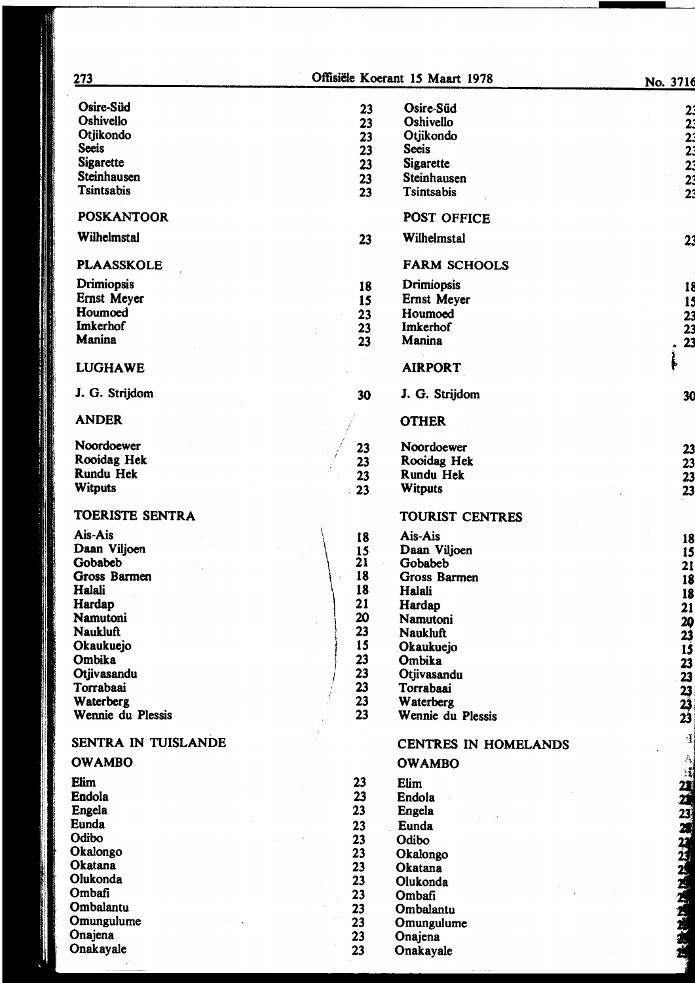| 273                    |          | Offisiële Koerant 15 Maart 1978 | No. 3716                                         |
|------------------------|----------|---------------------------------|--------------------------------------------------|
| Osire-Süd              | 23       | Osire-Süd                       |                                                  |
| Oshivello              | 23       | Oshivello                       | 22222323                                         |
| Otjikondo              | 23       | Otjikondo                       |                                                  |
| <b>Seeis</b>           |          | <b>Seeis</b>                    |                                                  |
| <b>Sigarette</b>       | 23       |                                 |                                                  |
|                        | 23       | <b>Sigarette</b>                |                                                  |
| <b>Steinhausen</b>     | 23       | Steinhausen                     |                                                  |
| <b>Tsintsabis</b>      | 23       | <b>Tsintsabis</b>               |                                                  |
| <b>POSKANTOOR</b>      |          | POST OFFICE                     |                                                  |
| Wilhelmstal            | 23       | Wilhelmstal                     | 23                                               |
| <b>PLAASSKOLE</b>      |          | <b>FARM SCHOOLS</b>             |                                                  |
| Drimiopsis             | 18       | Drimiopsis                      | 18                                               |
| Ernst Meyer            | 15       | Ernst Meyer                     |                                                  |
| Houmoed                | 23       | Houmoed                         |                                                  |
| <b>Imkerhof</b>        |          | <b>Imkerhof</b>                 | 15<br>23<br>23<br>23                             |
| <b>Manina</b>          | 23       |                                 |                                                  |
|                        | 23       | Manina                          |                                                  |
| <b>LUGHAWE</b>         |          | <b>AIRPORT</b>                  | ĺ                                                |
| J. G. Strijdom         | 30       | J. G. Strijdom                  | 30                                               |
| <b>ANDER</b>           |          | <b>OTHER</b>                    |                                                  |
| Noordoewer             | 23       | Noordoewer                      |                                                  |
| Rooidag Hek            | 23       | Rooidag Hek                     |                                                  |
| <b>Rundu Hek</b>       | 23       | <b>Rundu Hek</b>                |                                                  |
| <b>Witputs</b>         | 23       | <b>Witputs</b>                  | 23<br>23<br>23<br>23                             |
| <b>TOERISTE SENTRA</b> |          | <b>TOURIST CENTRES</b>          |                                                  |
| Ais-Ais                | 18       | Ais-Ais                         | 18                                               |
| Daan Viljoen           | 15       | Daan Viljoen                    | 15                                               |
| <b>Gobabeb</b>         | 21       | Gobabeb                         | 21                                               |
| <b>Gross Barmen</b>    | 18       | Gross Barmen                    | <b>18</b>                                        |
| Halali                 | 18       | Halali                          | <b>18</b>                                        |
| Hardap                 | 21       | Hardap                          |                                                  |
| <b>Namutoni</b>        | 20       | Namutoni                        | 21                                               |
| <b>Naukluft</b>        | 23       |                                 | $\begin{array}{c} 20 \\ 23 \end{array}$          |
|                        | 15       | <b>Naukluft</b>                 |                                                  |
| Okaukuejo              |          | Okaukuejo                       | 15                                               |
| Ombika                 | 23       | Ombika                          |                                                  |
| Otjivasandu            | 23       | Otjivasandu                     |                                                  |
| Torrabaai              | 23       | Torrabaai                       | 23<br>23<br>23<br>23<br>23                       |
| Waterberg              | 23       | Waterberg                       |                                                  |
| Wennie du Plessis      | 23       | Wennie du Plessis               |                                                  |
| SENTRA IN TUISLANDE    |          | <b>CENTRES IN HOMELANDS</b>     | $\mathbf{I}$                                     |
| <b>OWAMBO</b>          |          | <b>OWAMBO</b>                   | ☆ 三江 2121 23 24 24 25 25 25 25 25 25 25 25 25 25 |
| Elim<br>Endola         | 23<br>23 | Elim<br>Endola                  |                                                  |
|                        |          |                                 |                                                  |
| Engela                 | 23       | Engela                          |                                                  |
| <b>Eunda</b>           | 23       | Eunda                           |                                                  |
| Odibo                  | 23       | Odibo                           |                                                  |
| Okalongo               | 23       | Okalongo                        |                                                  |
| <b>Okatana</b>         | 23       | Okatana                         |                                                  |
| Olukonda               | 23       | Olukonda                        |                                                  |
| Ombafi                 | 23       | Ombafi                          |                                                  |
| Ombalantu              | 23       | Ombalantu                       |                                                  |
| Omungulume             | 23       | Omungulume                      |                                                  |
| Onajena                | 23       |                                 |                                                  |
|                        |          | Onajena                         |                                                  |
| Onakayale              | 23       | Onakayale                       |                                                  |

-·-~-